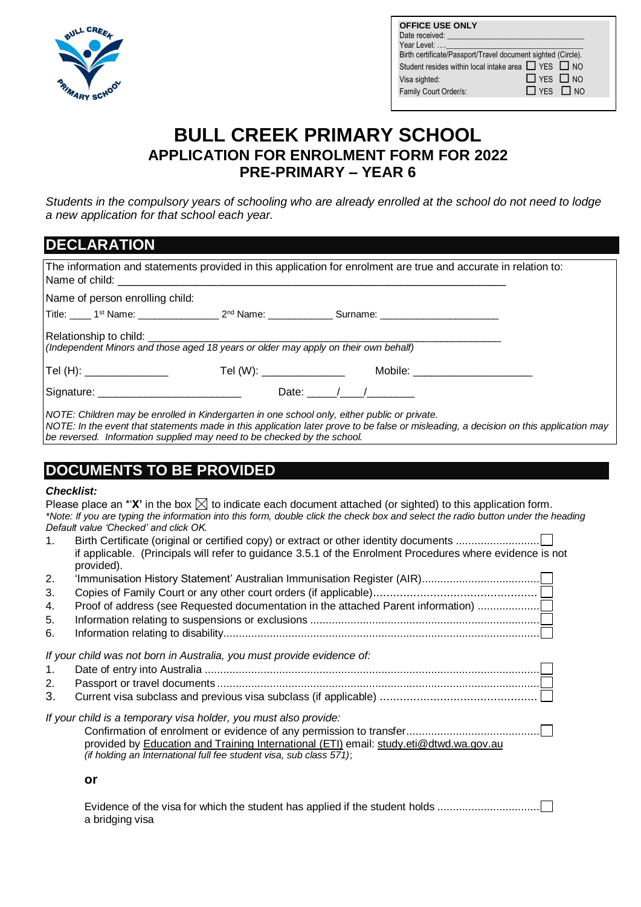

| <b>OFFICE USE ONLY</b>                                        |                      |
|---------------------------------------------------------------|----------------------|
| Date received: _________________                              |                      |
| <b>Year Level:  Year Level:</b>                               |                      |
| Birth certificate/Passport/Travel document sighted (Circle).  |                      |
| Student resides within local intake area $\Box$ YES $\Box$ NO |                      |
| Visa sighted:                                                 | $\Box$ YES $\Box$ NO |
| Family Court Order/s:                                         | $\Box$ YES $\Box$ NO |
|                                                               |                      |

## **BULL CREEK PRIMARY SCHOOL APPLICATION FOR ENROLMENT FORM FOR 2022 PRE-PRIMARY – YEAR 6**

*Students in the compulsory years of schooling who are already enrolled at the school do not need to lodge a new application for that school each year.*

| <b>DECLARATION</b>                                                                                                                                                        |  |                                                                                                                                       |  |  |  |  |
|---------------------------------------------------------------------------------------------------------------------------------------------------------------------------|--|---------------------------------------------------------------------------------------------------------------------------------------|--|--|--|--|
|                                                                                                                                                                           |  | The information and statements provided in this application for enrolment are true and accurate in relation to:                       |  |  |  |  |
| Name of person enrolling child:                                                                                                                                           |  |                                                                                                                                       |  |  |  |  |
|                                                                                                                                                                           |  | Title: ____ 1st Name: ______________________2 <sup>nd</sup> Name: _______________Surname: _________________________________           |  |  |  |  |
| (Independent Minors and those aged 18 years or older may apply on their own behalf)                                                                                       |  |                                                                                                                                       |  |  |  |  |
|                                                                                                                                                                           |  | Tel (H): _______________    Tel (W): _____________   Mobile: __________________                                                       |  |  |  |  |
| Signature: ____________________________                                                                                                                                   |  | Date: $\sqrt{1-\frac{1}{2}}$                                                                                                          |  |  |  |  |
| NOTE: Children may be enrolled in Kindergarten in one school only, either public or private.<br>  be reversed. Information supplied may need to be checked by the school. |  | NOTE: In the event that statements made in this application later prove to be false or misleading, a decision on this application may |  |  |  |  |

## **DOCUMENTS TO BE PROVIDED**

## *Checklist:*

|                | UNGUNIJI.                                                                                                                                                                                                                                                                                              |
|----------------|--------------------------------------------------------------------------------------------------------------------------------------------------------------------------------------------------------------------------------------------------------------------------------------------------------|
|                | Please place an *' $X'$ in the box $\boxtimes$ to indicate each document attached (or sighted) to this application form.<br>*Note: If you are typing the information into this form, double click the check box and select the radio button under the heading<br>Default value 'Checked' and click OK. |
| 1 <sub>1</sub> | if applicable. (Principals will refer to guidance 3.5.1 of the Enrolment Procedures where evidence is not<br>provided).                                                                                                                                                                                |
| 2.             |                                                                                                                                                                                                                                                                                                        |
| 3.             |                                                                                                                                                                                                                                                                                                        |
| 4.             | Proof of address (see Requested documentation in the attached Parent information)                                                                                                                                                                                                                      |
| 5.             |                                                                                                                                                                                                                                                                                                        |
| 6.             |                                                                                                                                                                                                                                                                                                        |
|                | If your child was not born in Australia, you must provide evidence of:                                                                                                                                                                                                                                 |
| $\mathbf{1}$ . |                                                                                                                                                                                                                                                                                                        |
| 2.             |                                                                                                                                                                                                                                                                                                        |
| 3.             |                                                                                                                                                                                                                                                                                                        |
|                | If your child is a temporary visa holder, you must also provide:<br>provided by Education and Training International (ETI) email: study.eti@dtwd.wa.gov.au<br>(if holding an International full fee student visa, sub class 571);                                                                      |
|                | or                                                                                                                                                                                                                                                                                                     |
|                | Evidence of the visa for which the student has applied if the student holds<br>a bridging visa                                                                                                                                                                                                         |